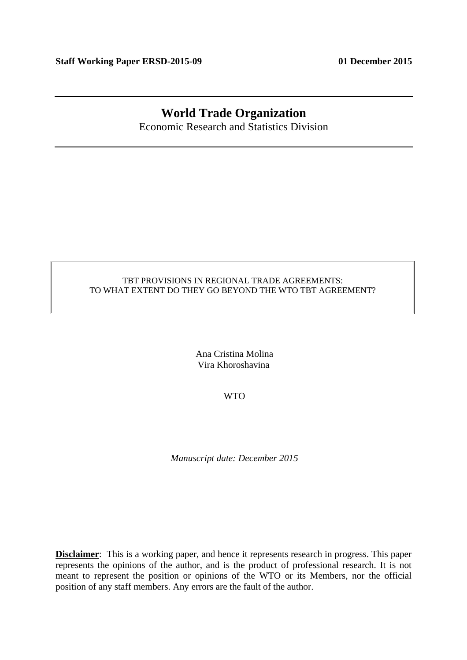## **World Trade Organization**

Economic Research and Statistics Division

## TBT PROVISIONS IN REGIONAL TRADE AGREEMENTS: TO WHAT EXTENT DO THEY GO BEYOND THE WTO TBT AGREEMENT?

Ana Cristina Molina Vira Khoroshavina

WTO

*Manuscript date: December 2015* 

**Disclaimer**: This is a working paper, and hence it represents research in progress. This paper represents the opinions of the author, and is the product of professional research. It is not meant to represent the position or opinions of the WTO or its Members, nor the official position of any staff members. Any errors are the fault of the author.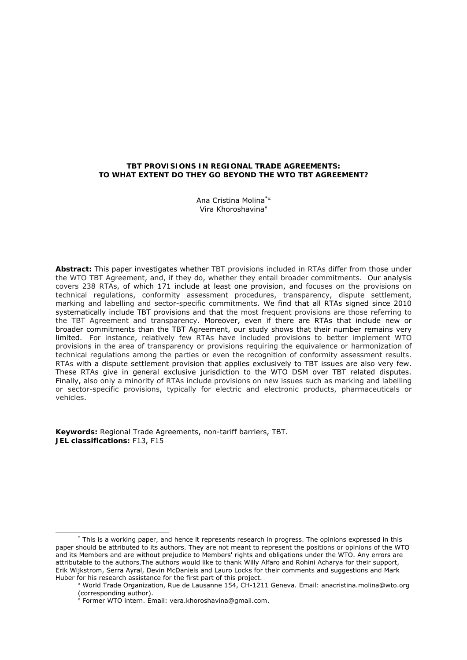### **TBT PROVISIONS IN REGIONAL TRADE AGREEMENTS: TO WHAT EXTENT DO THEY GO BEYOND THE WTO TBT AGREEMENT?**

Ana Cristina Molina $*$ <sup> $\alpha$ </sup> Vira Khoroshavina<sup>γ</sup>

**Abstract:** This paper investigates whether TBT provisions included in RTAs differ from those under the WTO TBT Agreement, and, if they do, whether they entail broader commitments. Our analysis covers 238 RTAs, of which 171 include at least one provision, and focuses on the provisions on technical regulations, conformity assessment procedures, transparency, dispute settlement, marking and labelling and sector-specific commitments. We find that all RTAs signed since 2010 systematically include TBT provisions and that the most frequent provisions are those referring to the TBT Agreement and transparency. Moreover, even if there are RTAs that include new or broader commitments than the TBT Agreement, our study shows that their number remains very limited. For instance, relatively few RTAs have included provisions to better implement WTO provisions in the area of transparency or provisions requiring the equivalence or harmonization of technical regulations among the parties or even the recognition of conformity assessment results. RTAs with a dispute settlement provision that applies exclusively to TBT issues are also very few. These RTAs give in general exclusive jurisdiction to the WTO DSM over TBT related disputes. Finally, also only a minority of RTAs include provisions on new issues such as marking and labelling or sector-specific provisions, typically for electric and electronic products, pharmaceuticals or vehicles.

**Keywords:** Regional Trade Agreements, non-tariff barriers, TBT. **JEL classifications:** F13, F15

 <sup>\*</sup>  $*$  This is a working paper, and hence it represents research in progress. The opinions expressed in this paper should be attributed to its authors. They are not meant to represent the positions or opinions of the WTO and its Members and are without prejudice to Members' rights and obligations under the WTO. Any errors are attributable to the authors.The authors would like to thank Willy Alfaro and Rohini Acharya for their support, Erik Wijkstrom, Serra Ayral, Devin McDaniels and Lauro Locks for their comments and suggestions and Mark Huber for his research assistance for the first part of this project.

 World Trade Organization, Rue de Lausanne 154, CH-1211 Geneva. Email: anacristina.molina@wto.org (corresponding author).

γ Former WTO intern. Email: vera.khoroshavina@gmail.com.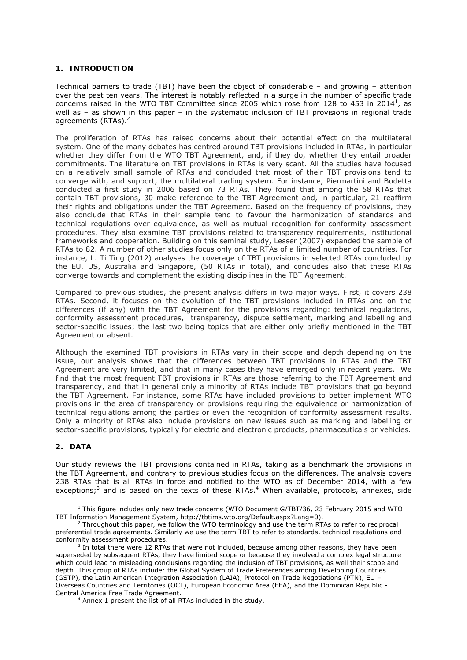## **1. INTRODUCTION**

Technical barriers to trade (TBT) have been the object of considerable – and growing – attention over the past ten years. The interest is notably reflected in a surge in the number of specific trade concerns raised in the WTO TBT Committee since 2005 which rose from 128 to 453 in 2014<sup>1</sup>, as well as – as shown in this paper – in the systematic inclusion of TBT provisions in regional trade agreements (RTAs). $<sup>2</sup>$ </sup>

The proliferation of RTAs has raised concerns about their potential effect on the multilateral system. One of the many debates has centred around TBT provisions included in RTAs, in particular whether they differ from the WTO TBT Agreement, and, if they do, whether they entail broader commitments. The literature on TBT provisions in RTAs is very scant. All the studies have focused on a relatively small sample of RTAs and concluded that most of their TBT provisions tend to converge with, and support, the multilateral trading system. For instance, Piermartini and Budetta conducted a first study in 2006 based on 73 RTAs. They found that among the 58 RTAs that contain TBT provisions, 30 make reference to the TBT Agreement and, in particular, 21 reaffirm their rights and obligations under the TBT Agreement. Based on the frequency of provisions, they also conclude that RTAs in their sample tend to favour the harmonization of standards and technical regulations over equivalence, as well as mutual recognition for conformity assessment procedures. They also examine TBT provisions related to transparency requirements, institutional frameworks and cooperation. Building on this seminal study, Lesser (2007) expanded the sample of RTAs to 82. A number of other studies focus only on the RTAs of a limited number of countries. For instance, L. Ti Ting (2012) analyses the coverage of TBT provisions in selected RTAs concluded by the EU, US, Australia and Singapore, (50 RTAs in total), and concludes also that these RTAs converge towards and complement the existing disciplines in the TBT Agreement.

Compared to previous studies, the present analysis differs in two major ways. First, it covers 238 RTAs. Second, it focuses on the evolution of the TBT provisions included in RTAs and on the differences (if any) with the TBT Agreement for the provisions regarding: technical regulations, conformity assessment procedures, transparency, dispute settlement, marking and labelling and sector-specific issues; the last two being topics that are either only briefly mentioned in the TBT Agreement or absent.

Although the examined TBT provisions in RTAs vary in their scope and depth depending on the issue, our analysis shows that the differences between TBT provisions in RTAs and the TBT Agreement are very limited, and that in many cases they have emerged only in recent years. We find that the most frequent TBT provisions in RTAs are those referring to the TBT Agreement and transparency, and that in general only a minority of RTAs include TBT provisions that go beyond the TBT Agreement. For instance, some RTAs have included provisions to better implement WTO provisions in the area of transparency or provisions requiring the equivalence or harmonization of technical regulations among the parties or even the recognition of conformity assessment results. Only a minority of RTAs also include provisions on new issues such as marking and labelling or sector-specific provisions, typically for electric and electronic products, pharmaceuticals or vehicles.

## **2. DATA**

Our study reviews the TBT provisions contained in RTAs, taking as a benchmark the provisions in the TBT Agreement, and contrary to previous studies focus on the differences. The analysis covers 238 RTAs that is all RTAs in force and notified to the WTO as of December 2014, with a few exceptions;<sup>3</sup> and is based on the texts of these RTAs.<sup>4</sup> When available, protocols, annexes, side

 $\frac{1}{1}$  $1$  This figure includes only new trade concerns (WTO Document G/TBT/36, 23 February 2015 and WTO TBT Information Management System, http://tbtims.wto.org/Default.aspx?Lang=0). 2

 $2$  Throughout this paper, we follow the WTO terminology and use the term RTAs to refer to reciprocal preferential trade agreements. Similarly we use the term TBT to refer to standards, technical regulations and conformity assessment procedures.

 $3$  In total there were 12 RTAs that were not included, because among other reasons, they have been superseded by subsequent RTAs, they have limited scope or because they involved a complex legal structure which could lead to misleading conclusions regarding the inclusion of TBT provisions, as well their scope and depth. This group of RTAs include: the Global System of Trade Preferences among Developing Countries (GSTP), the Latin American Integration Association (LAIA), Protocol on Trade Negotiations (PTN), EU – Overseas Countries and Territories (OCT), European Economic Area (EEA), and the Dominican Republic - Central America Free Trade Agreement. 4

<sup>&</sup>lt;sup>4</sup> Annex 1 present the list of all RTAs included in the study.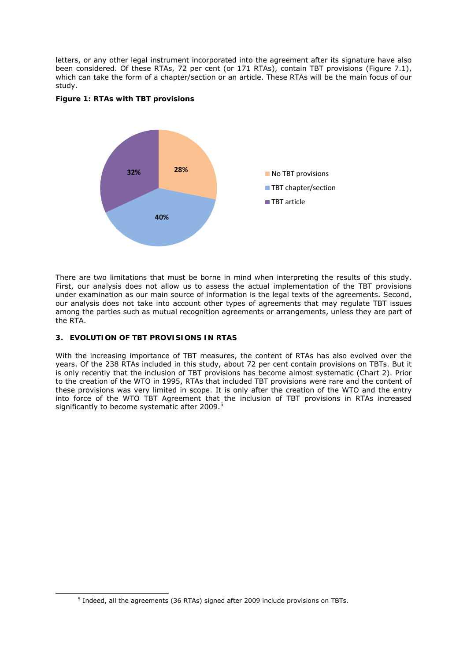letters, or any other legal instrument incorporated into the agreement after its signature have also been considered. Of these RTAs, 72 per cent (or 171 RTAs), contain TBT provisions (Figure 7.1), which can take the form of a chapter/section or an article. These RTAs will be the main focus of our study.





There are two limitations that must be borne in mind when interpreting the results of this study. First, our analysis does not allow us to assess the actual implementation of the TBT provisions under examination as our main source of information is the legal texts of the agreements. Second, our analysis does not take into account other types of agreements that may regulate TBT issues among the parties such as mutual recognition agreements or arrangements, unless they are part of the RTA.

## **3. EVOLUTION OF TBT PROVISIONS IN RTAS**

With the increasing importance of TBT measures, the content of RTAs has also evolved over the years. Of the 238 RTAs included in this study, about 72 per cent contain provisions on TBTs. But it is only recently that the inclusion of TBT provisions has become almost systematic (Chart 2). Prior to the creation of the WTO in 1995, RTAs that included TBT provisions were rare and the content of these provisions was very limited in scope. It is only after the creation of the WTO and the entry into force of the WTO TBT Agreement that the inclusion of TBT provisions in RTAs increased significantly to become systematic after 2009. $5$ 

 $\frac{1}{5}$  $<sup>5</sup>$  Indeed, all the agreements (36 RTAs) signed after 2009 include provisions on TBTs.</sup>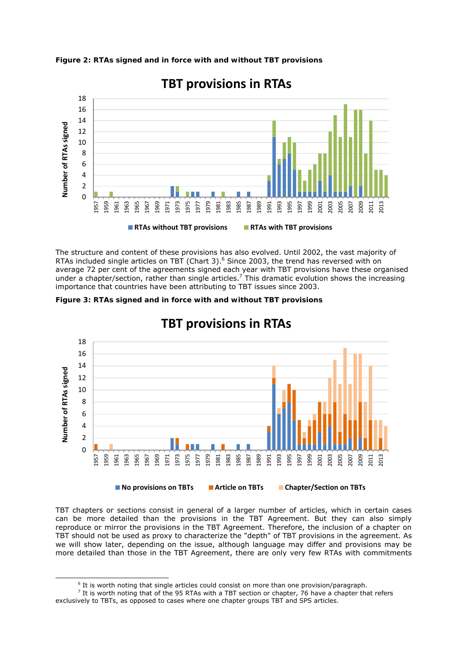



**TBT provisions in RTAs**

The structure and content of these provisions has also evolved. Until 2002, the vast majority of RTAs included single articles on TBT (Chart 3).<sup>6</sup> Since 2003, the trend has reversed with on average 72 per cent of the agreements signed each year with TBT provisions have these organised under a chapter/section, rather than single articles.<sup>7</sup> This dramatic evolution shows the increasing importance that countries have been attributing to TBT issues since 2003.





# **TBT provisions in RTAs**

TBT chapters or sections consist in general of a larger number of articles, which in certain cases can be more detailed than the provisions in the TBT Agreement. But they can also simply reproduce or mirror the provisions in the TBT Agreement. Therefore, the inclusion of a chapter on TBT should not be used as proxy to characterize the "depth" of TBT provisions in the agreement. As we will show later, depending on the issue, although language may differ and provisions may be more detailed than those in the TBT Agreement, there are only very few RTAs with commitments

It is worth noting that single articles could consist on more than one provision/paragraph.

 $\frac{7}{1}$  It is worth noting that of the 95 RTAs with a TBT section or chapter, 76 have a chapter that refers exclusively to TBTs, as opposed to cases where one chapter groups TBT and SPS articles.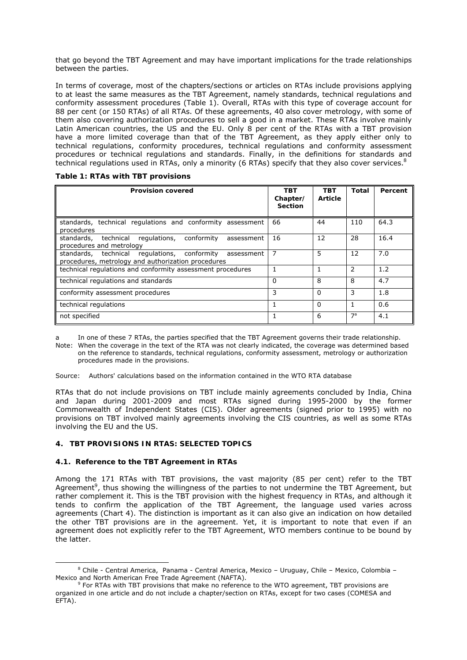that go beyond the TBT Agreement and may have important implications for the trade relationships between the parties.

In terms of coverage, most of the chapters/sections or articles on RTAs include provisions applying to at least the same measures as the TBT Agreement, namely standards, technical regulations and conformity assessment procedures (Table 1). Overall, RTAs with this type of coverage account for 88 per cent (or 150 RTAs) of all RTAs. Of these agreements, 40 also cover metrology, with some of them also covering authorization procedures to sell a good in a market. These RTAs involve mainly Latin American countries, the US and the EU. Only 8 per cent of the RTAs with a TBT provision have a more limited coverage than that of the TBT Agreement, as they apply either only to technical regulations, conformity procedures, technical regulations and conformity assessment procedures or technical regulations and standards. Finally, in the definitions for standards and technical regulations used in RTAs, only a minority (6 RTAs) specify that they also cover services.<sup>8</sup>

|  |  | Table 1: RTAs with TBT provisions |  |  |
|--|--|-----------------------------------|--|--|
|--|--|-----------------------------------|--|--|

| <b>Provision covered</b>                                                                                         | TBT<br>Chapter/<br><b>Section</b> | <b>TBT</b><br>Article | Total          | Percent |
|------------------------------------------------------------------------------------------------------------------|-----------------------------------|-----------------------|----------------|---------|
| standards, technical regulations and conformity assessment<br>procedures                                         | 66                                | 44                    | 110            | 64.3    |
| standards, technical regulations, conformity<br>assessment<br>procedures and metrology                           | 16                                | 12                    | 28             | 16.4    |
| standards, technical regulations, conformity<br>assessment<br>procedures, metrology and authorization procedures | 7                                 | 5                     | 12             | 7.0     |
| technical regulations and conformity assessment procedures                                                       |                                   |                       | $\mathcal{P}$  | 1.2     |
| technical regulations and standards                                                                              | $\Omega$                          | 8                     | 8              | 4.7     |
| conformity assessment procedures                                                                                 | 3                                 | $\Omega$              | 3              | 1.8     |
| technical regulations                                                                                            | 1                                 | $\Omega$              | 1              | 0.6     |
| not specified                                                                                                    |                                   | 6                     | 7 <sup>a</sup> | 4.1     |

In one of these 7 RTAs, the parties specified that the TBT Agreement governs their trade relationship.

Note: When the coverage in the text of the RTA was not clearly indicated, the coverage was determined based on the reference to standards, technical regulations, conformity assessment, metrology or authorization procedures made in the provisions.

Source: Authors' calculations based on the information contained in the WTO RTA database

RTAs that do not include provisions on TBT include mainly agreements concluded by India, China and Japan during 2001-2009 and most RTAs signed during 1995-2000 by the former Commonwealth of Independent States (CIS). Older agreements (signed prior to 1995) with no provisions on TBT involved mainly agreements involving the CIS countries, as well as some RTAs involving the EU and the US.

#### **4. TBT PROVISIONS IN RTAS: SELECTED TOPICS**

#### **4.1. Reference to the TBT Agreement in RTAs**

Among the 171 RTAs with TBT provisions, the vast majority (85 per cent) refer to the TBT Agreement<sup>9</sup>, thus showing the willingness of the parties to not undermine the TBT Agreement, but rather complement it. This is the TBT provision with the highest frequency in RTAs, and although it tends to confirm the application of the TBT Agreement, the language used varies across agreements (Chart 4). The distinction is important as it can also give an indication on how detailed the other TBT provisions are in the agreement. Yet, it is important to note that even if an agreement does not explicitly refer to the TBT Agreement, WTO members continue to be bound by the latter.

 <sup>8</sup> Chile - Central America, Panama - Central America, Mexico – Uruguay, Chile – Mexico, Colombia – Mexico and North American Free Trade Agreement (NAFTA).

 $9$  For RTAs with TBT provisions that make no reference to the WTO agreement, TBT provisions are organized in one article and do not include a chapter/section on RTAs, except for two cases (COMESA and EFTA).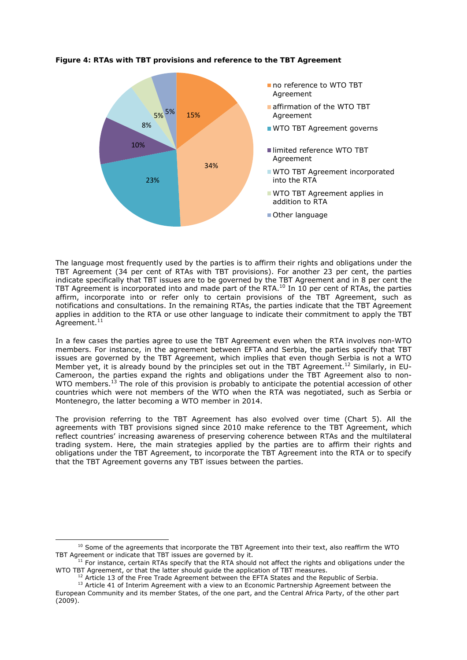

### **Figure 4: RTAs with TBT provisions and reference to the TBT Agreement**

The language most frequently used by the parties is to affirm their rights and obligations under the TBT Agreement (34 per cent of RTAs with TBT provisions). For another 23 per cent, the parties indicate specifically that TBT issues are to be governed by the TBT Agreement and in 8 per cent the TBT Agreement is incorporated into and made part of the RTA.<sup>10</sup> In 10 per cent of RTAs, the parties affirm, incorporate into or refer only to certain provisions of the TBT Agreement, such as notifications and consultations. In the remaining RTAs, the parties indicate that the TBT Agreement applies in addition to the RTA or use other language to indicate their commitment to apply the TBT  $A$ greement. $11$ 

In a few cases the parties agree to use the TBT Agreement even when the RTA involves non-WTO members. For instance, in the agreement between EFTA and Serbia, the parties specify that TBT issues are governed by the TBT Agreement, which implies that even though Serbia is not a WTO Member yet, it is already bound by the principles set out in the TBT Agreement.<sup>12</sup> Similarly, in EU-Cameroon, the parties expand the rights and obligations under the TBT Agreement also to non-WTO members.<sup>13</sup> The role of this provision is probably to anticipate the potential accession of other countries which were not members of the WTO when the RTA was negotiated, such as Serbia or Montenegro, the latter becoming a WTO member in 2014.

The provision referring to the TBT Agreement has also evolved over time (Chart 5). All the agreements with TBT provisions signed since 2010 make reference to the TBT Agreement, which reflect countries' increasing awareness of preserving coherence between RTAs and the multilateral trading system. Here, the main strategies applied by the parties are to affirm their rights and obligations under the TBT Agreement, to incorporate the TBT Agreement into the RTA or to specify that the TBT Agreement governs any TBT issues between the parties.

<sup>&</sup>lt;sup>10</sup> Some of the agreements that incorporate the TBT Agreement into their text, also reaffirm the WTO<br>TBT Agreement or indicate that TBT issues are governed by it.

THT For instance, certain RTAs specify that the RTA should not affect the rights and obligations under the WTO TBT Agreement. or that the latter should quide the application of TBT measures.

 $12$  Article 13 of the Free Trade Agreement between the EFTA States and the Republic of Serbia.<br> $13$  Article 41 of Interim Agreement with a view to an Economic Partnership Agreement between the

European Community and its member States, of the one part, and the Central Africa Party, of the other part  $(2009)$ .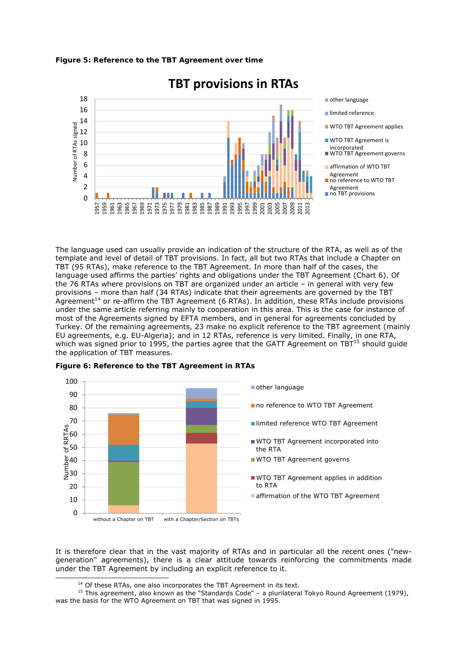



## **TBT provisions in RTAs**

other language

- limited reference
- **WTO TBT Agreement applies**
- **WTO TBT Agreement is**
- incorporated WTO TBT Agreement governs
- affirmation of WTO TBT
- Agreement
- no reference to WTO TBT
- Agreement ■ no TBT provisions

The language used can usually provide an indication of the structure of the RTA, as well as of the template and level of detail of TBT provisions. In fact, all but two RTAs that include a Chapter on TBT (95 RTAs), make reference to the TBT Agreement. In more than half of the cases, the language used affirms the parties' rights and obligations under the TBT Agreement (Chart 6). Of the 76 RTAs where provisions on TBT are organized under an article – in general with very few provisions – more than half (34 RTAs) indicate that their agreements are governed by the TBT Agreement<sup>14</sup> or re-affirm the TBT Agreement (6 RTAs). In addition, these RTAs include provisions under the same article referring mainly to cooperation in this area. This is the case for instance of most of the Agreements signed by EFTA members, and in general for agreements concluded by Turkey. Of the remaining agreements, 23 make no explicit reference to the TBT agreement (mainly EU agreements, e.g. EU-Algeria); and in 12 RTAs, reference is very limited. Finally, in one RTA, which was signed prior to 1995, the parties agree that the GATT Agreement on TBT $<sup>15</sup>$  should guide</sup> the application of TBT measures.



### **Figure 6: Reference to the TBT Agreement in RTAs**

It is therefore clear that in the vast majority of RTAs and in particular all the recent ones ("newgeneration" agreements), there is a clear attitude towards reinforcing the commitments made under the TBT Agreement by including an explicit reference to it.

<sup>&</sup>lt;sup>14</sup> Of these RTAs, one also incorporates the TBT Agreement in its text.<br><sup>15</sup> This agreement, also known as the "Standards Code" – a plurilateral Tokyo Round Agreement (1979), was the basis for the WTO Agreement on TBT that was signed in 1995.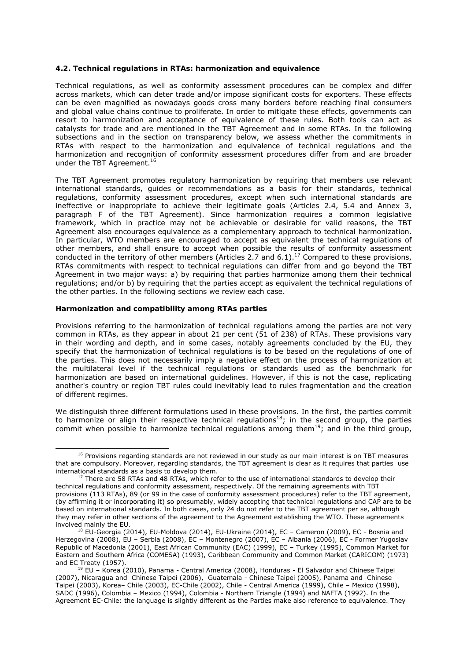#### **4.2. Technical regulations in RTAs: harmonization and equivalence**

Technical regulations, as well as conformity assessment procedures can be complex and differ across markets, which can deter trade and/or impose significant costs for exporters. These effects can be even magnified as nowadays goods cross many borders before reaching final consumers and global value chains continue to proliferate. In order to mitigate these effects, governments can resort to harmonization and acceptance of equivalence of these rules. Both tools can act as catalysts for trade and are mentioned in the TBT Agreement and in some RTAs. In the following subsections and in the section on transparency below, we assess whether the commitments in RTAs with respect to the harmonization and equivalence of technical regulations and the harmonization and recognition of conformity assessment procedures differ from and are broader under the TBT Agreement.<sup>16</sup>

The TBT Agreement promotes regulatory harmonization by requiring that members use relevant international standards, guides or recommendations as a basis for their standards, technical regulations, conformity assessment procedures, except when such international standards are ineffective or inappropriate to achieve their legitimate goals (Articles 2.4, 5.4 and Annex 3, paragraph F of the TBT Agreement). Since harmonization requires a common legislative framework, which in practice may not be achievable or desirable for valid reasons, the TBT Agreement also encourages equivalence as a complementary approach to technical harmonization. In particular, WTO members are encouraged to accept as equivalent the technical regulations of other members, and shall ensure to accept when possible the results of conformity assessment conducted in the territory of other members (Articles 2.7 and 6.1).<sup>17</sup> Compared to these provisions, RTAs commitments with respect to technical regulations can differ from and go beyond the TBT Agreement in two major ways: a) by requiring that parties harmonize among them their technical regulations; and/or b) by requiring that the parties accept as equivalent the technical regulations of the other parties. In the following sections we review each case.

#### *Harmonization and compatibility among RTAs parties*

Provisions referring to the harmonization of technical regulations among the parties are not very common in RTAs, as they appear in about 21 per cent (51 of 238) of RTAs. These provisions vary in their wording and depth, and in some cases, notably agreements concluded by the EU, they specify that the harmonization of technical regulations is to be based on the regulations of one of the parties. This does not necessarily imply a negative effect on the process of harmonization at the multilateral level if the technical regulations or standards used as the benchmark for harmonization are based on international guidelines. However, if this is not the case, replicating another's country or region TBT rules could inevitably lead to rules fragmentation and the creation of different regimes.

We distinguish three different formulations used in these provisions. In the first, the parties *commit* to harmonize or align their respective technical regulations<sup>18</sup>; in the second group, the parties *commit when possible* to harmonize technical regulations among them<sup>19</sup>; and in the third group,

<sup>&</sup>lt;sup>16</sup> Provisions regarding standards are not reviewed in our study as our main interest is on TBT measures that are compulsory. Moreover, regarding standards, the TBT agreement is clear as it requires that parties use international standards as a basis to develop them.<br><sup>17</sup> There are 58 RTAs and 48 RTAs, which refer to the use of international standards to develop their

technical regulations and conformity assessment, respectively. Of the remaining agreements with TBT provisions (113 RTAs), 89 (or 99 in the case of conformity assessment procedures) refer to the TBT agreement, (by affirming it or incorporating it) so presumably, widely accepting that technical regulations and CAP are to be based on international standards. In both cases, only 24 do not refer to the TBT agreement per se, although they may refer in other sections of the agreement to the Agreement establishing the WTO. These agreements involved mainly the EU.

 $18$  EU-Georgia (2014), EU-Moldova (2014), EU-Ukraine (2014), EC – Cameron (2009), EC - Bosnia and Herzegovina (2008), EU – Serbia (2008), EC – Montenegro (2007), EC – Albania (2006), EC - Former Yugoslav Republic of Macedonia (2001), East African Community (EAC) (1999), EC – Turkey (1995), Common Market for Eastern and Southern Africa (COMESA) (1993), Caribbean Community and Common Market (CARICOM) (1973) and EC Treaty (1957).<br><sup>19</sup> EU – Korea (2010), Panama - Central America (2008), Honduras - El Salvador and Chinese Taipei

<sup>(2007),</sup> Nicaragua and Chinese Taipei (2006), Guatemala - Chinese Taipei (2005), Panama and Chinese Taipei (2003), Korea– Chile (2003), EC-Chile (2002), Chile - Central America (1999), Chile – Mexico (1998), SADC (1996), Colombia – Mexico (1994), Colombia - Northern Triangle (1994) and NAFTA (1992). In the Agreement EC-Chile: the language is slightly different as the Parties make also reference to equivalence. They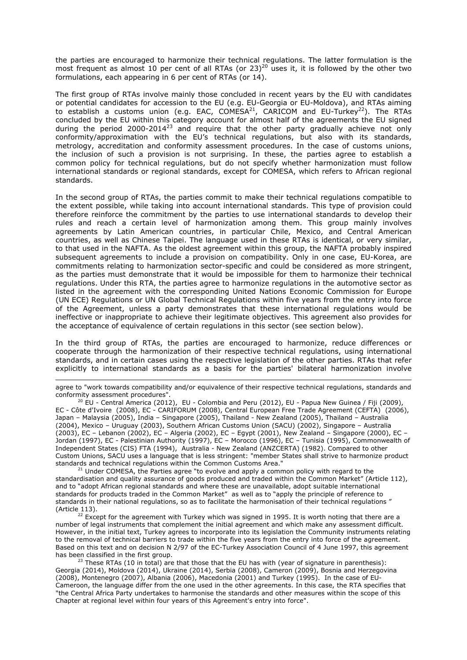the parties *are encouraged* to harmonize their technical regulations. The latter formulation is the most frequent as almost 10 per cent of all RTAs (or  $23)^{20}$  uses it, it is followed by the other two formulations, each appearing in 6 per cent of RTAs (or 14).

The first group of RTAs involve mainly those concluded in recent years by the EU with candidates or potential candidates for accession to the EU (e.g. EU-Georgia or EU-Moldova), and RTAs aiming to establish a customs union (e.g. EAC,  $COMESA<sup>21</sup>$ ,  $CARICOM$  and EU-Turkey<sup>22</sup>). The RTAs concluded by the EU within this category account for almost half of the agreements the EU signed during the period 2000-2014<sup>23</sup> and require that the other party gradually achieve not only conformity/approximation with the EU's technical regulations, but also with its standards, metrology, accreditation and conformity assessment procedures. In the case of customs unions, the inclusion of such a provision is not surprising. In these, the parties agree to establish a common policy for technical regulations, but do not specify whether harmonization must follow international standards or regional standards, except for COMESA, which refers to African regional standards.

In the second group of RTAs, the parties commit to make their technical regulations compatible to the extent possible, while taking into account international standards. This type of provision could therefore reinforce the commitment by the parties to use international standards to develop their rules and reach a certain level of harmonization among them. This group mainly involves agreements by Latin American countries, in particular Chile, Mexico, and Central American countries, as well as Chinese Taipei. The language used in these RTAs is identical, or very similar, to that used in the NAFTA. As the oldest agreement within this group, the NAFTA probably inspired subsequent agreements to include a provision on compatibility. Only in one case, EU-Korea, are commitments relating to harmonization sector-specific and could be considered as more stringent, as the parties must demonstrate that it would be impossible for them to harmonize their technical regulations. Under this RTA, the parties agree to harmonize regulations in the automotive sector as listed in the agreement with the corresponding United Nations Economic Commission for Europe (UN ECE) Regulations or UN Global Technical Regulations within five years from the entry into force of the Agreement, unless a party demonstrates that these international regulations would be ineffective or inappropriate to achieve their legitimate objectives. This agreement also provides for the acceptance of equivalence of certain regulations in this sector (see section below).

In the third group of RTAs, the parties are encouraged to harmonize, reduce differences or cooperate through the harmonization of their respective technical regulations, using international standards, and in certain cases using the respective legislation of the other parties. RTAs that refer explicitly to international standards as a basis for the parties' bilateral harmonization involve

-

<sup>20</sup> EU - Central America (2012), EU - Colombia and Peru (2012), EU - Papua New Guinea / Fiji (2009), EC - Côte d'Ivoire (2008), EC - CARIFORUM (2008), Central European Free Trade Agreement (CEFTA) (2006), Japan – Malaysia (2005), India – Singapore (2005), Thailand - New Zealand (2005), Thailand – Australia (2004), Mexico – Uruguay (2003), Southern African Customs Union (SACU) (2002), Singapore – Australia (2003), EC – Lebanon (2002), EC – Algeria (2002), EC – Egypt (2001), New Zealand – Singapore (2000), EC – Jordan (1997), EC - Palestinian Authority (1997), EC – Morocco (1996), EC – Tunisia (1995), Commonwealth of Independent States (CIS) FTA (1994), Australia - New Zealand (ANZCERTA) (1982). Compared to other Custom Unions, SACU uses a language that is less stringent: "member States shall strive to harmonize product standards and technical regulations within the Common Customs Area."<br><sup>21</sup> Under COMESA, the Parties agree "to evolve and apply a common policy with regard to the

standardisation and quality assurance of goods produced and traded within the Common Market" (Article 112), and to "adopt African regional standards and where these are unavailable, adopt suitable international standards for products traded in the Common Market" as well as to "apply the principle of reference to standards in their national regulations, so as to facilitate the harmonisation of their technical regulations "

(Article 113).<br><sup>22</sup> Except for the agreement with Turkey which was signed in 1995. It is worth noting that there are a number of legal instruments that complement the initial agreement and which make any assessment difficult. However, in the initial text, Turkey agrees to incorporate into its legislation the Community instruments relating to the removal of technical barriers to trade within the five years from the entry into force of the agreement. Based on this text and on decision N 2/97 of the EC-Turkey Association Council of 4 June 1997, this agreement has been classified in the first group.

 $\frac{23}{12}$  These RTAs (10 in total) are that those that the EU has with (year of signature in parenthesis): Georgia (2014), Moldova (2014), Ukraine (2014), Serbia (2008), Cameron (2009), Bosnia and Herzegovina (2008), Montenegro (2007), Albania (2006), Macedonia (2001) and Turkey (1995). In the case of EU-Cameroon, the language differ from the one used in the other agreements. In this case, the RTA specifies that "the Central Africa Party undertakes to harmonise the standards and other measures within the scope of this Chapter at regional level within four years of this Agreement's entry into force".

agree to "work towards compatibility and/or equivalence of their respective technical regulations, standards and conformity assessment procedures".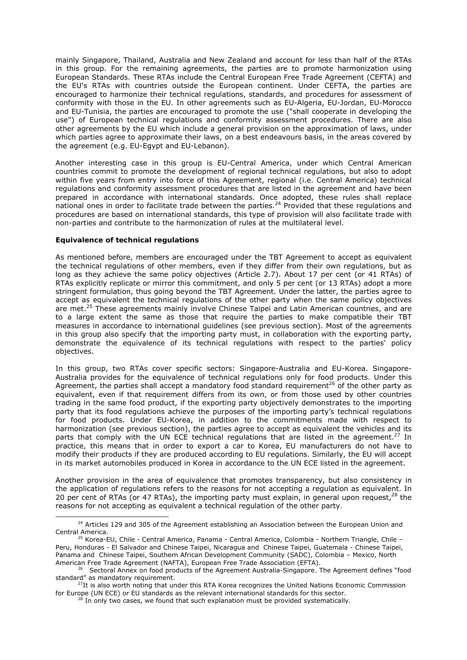mainly Singapore, Thailand, Australia and New Zealand and account for less than half of the RTAs in this group. For the remaining agreements, the parties are to promote harmonization using European Standards. These RTAs include the Central European Free Trade Agreement (CEFTA) and the EU's RTAs with countries outside the European continent. Under CEFTA, the parties are encouraged to harmonize their technical regulations, standards, and procedures for assessment of conformity with those in the EU. In other agreements such as EU-Algeria, EU-Jordan, EU-Morocco and EU-Tunisia, the parties are encouraged to promote the use ("shall cooperate in developing the use") of European technical regulations and conformity assessment procedures. There are also other agreements by the EU which include a general provision on the approximation of laws, under which parties agree to approximate their laws, on a best endeavours basis, in the areas covered by the agreement (e.g. EU-Egypt and EU-Lebanon).

Another interesting case in this group is EU-Central America, under which Central American countries commit to promote the development of regional technical regulations, but also to adopt within five years from entry into force of this Agreement, regional (i.e. Central America) technical regulations and conformity assessment procedures that are listed in the agreement and have been prepared in accordance with international standards. Once adopted, these rules shall replace national ones in order to facilitate trade between the parties.<sup>24</sup> Provided that these regulations and procedures are based on international standards, this type of provision will also facilitate trade with non-parties and contribute to the harmonization of rules at the multilateral level.

#### *Equivalence of technical regulations*

As mentioned before, members are encouraged under the TBT Agreement to accept as equivalent the technical regulations of other members, even if they differ from their own regulations, but as long as they achieve the same policy objectives (Article 2.7). About 17 per cent (or 41 RTAs) of RTAs explicitly replicate or mirror this commitment, and only 5 per cent (or 13 RTAs) adopt a more stringent formulation, thus going beyond the TBT Agreement. Under the latter, the parties agree to accept as equivalent the technical regulations of the other party when the same policy objectives are met.<sup>25</sup> These agreements mainly involve Chinese Taipei and Latin American countries, and are to a large extent the same as those that require the parties to make compatible their TBT measures in accordance to international guidelines (see previous section). Most of the agreements in this group also specify that the importing party must, in collaboration with the exporting party, demonstrate the equivalence of its technical regulations with respect to the parties' policy objectives.

In this group, two RTAs cover specific sectors: Singapore-Australia and EU-Korea. Singapore-Australia provides for the equivalence of technical regulations only for food products. Under this Agreement, the parties shall accept a *mandatory food standard requirement*26 of the other party as equivalent, even if that requirement differs from its own, or from those used by other countries trading in the same food product, if the exporting party objectively demonstrates to the importing party that its food regulations achieve the purposes of the importing party's technical regulations for food products. Under EU-Korea, in addition to the commitments made with respect to harmonization (see previous section), the parties agree to accept as equivalent the vehicles and its parts that comply with the UN ECE technical regulations that are listed in the agreement.<sup>27</sup> In practice, this means that in order to export a car to Korea, EU manufacturers do not have to modify their products if they are produced according to EU regulations. Similarly, the EU will accept in its market automobiles produced in Korea in accordance to the UN ECE listed in the agreement.

Another provision in the area of equivalence that promotes transparency, but also consistency in the application of regulations refers to the reasons for not accepting a regulation as equivalent. In 20 per cent of RTAs (or 47 RTAs), the importing party must explain, in general upon request, $^{28}$  the reasons for not accepting as equivalent a technical regulation of the other party.

 $24$  Articles 129 and 305 of the Agreement establishing an Association between the European Union and Central America. 25 Korea-EU, Chile - Central America, Panama - Central America, Colombia - Northern Triangle, Chile –

Peru, Honduras - El Salvador and Chinese Taipei, Nicaragua and Chinese Taipei, Guatemala - Chinese Taipei, Panama and Chinese Taipei, Southern African Development Community (SADC), Colombia – Mexico, North<br>American Free Trade Agreement (NAFTA), European Free Trade Association (EFTA).

<sup>&</sup>lt;sup>26</sup> Sectoral Annex on food products of the Agreement Australia-Singapore. The Agreement defines "food standard" as mandatory requirement.

 $27$ It is also worth noting that under this RTA Korea recognizes the United Nations Economic Commission for Europe (UN ECE) or EU standards as the relevant international standards for this sector.<br><sup>28</sup> In only two cases, we found that such explanation must be provided systematically.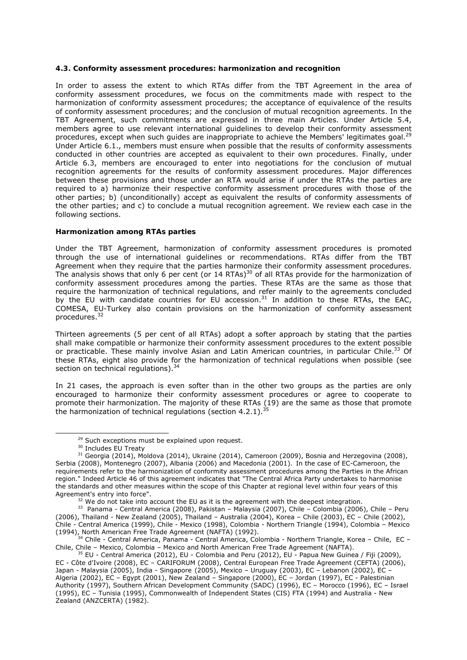#### **4.3. Conformity assessment procedures: harmonization and recognition**

In order to assess the extent to which RTAs differ from the TBT Agreement in the area of conformity assessment procedures, we focus on the commitments made with respect to the harmonization of conformity assessment procedures; the acceptance of equivalence of the results of conformity assessment procedures; and the conclusion of mutual recognition agreements. In the TBT Agreement, such commitments are expressed in three main Articles. Under Article 5.4, members agree to use relevant international guidelines to develop their conformity assessment procedures, except when such quides are inappropriate to achieve the Members' legitimates goal.<sup>29</sup> Under Article 6.1., members must ensure when possible that the results of conformity assessments conducted in other countries are accepted as equivalent to their own procedures. Finally, under Article 6.3, members are encouraged to enter into negotiations for the conclusion of mutual recognition agreements for the results of conformity assessment procedures. Major differences between these provisions and those under an RTA would arise if under the RTAs the parties are *required* to a) harmonize their respective conformity assessment procedures with those of the other parties; b) (unconditionally) accept as equivalent the results of conformity assessments of the other parties; and c) to conclude a mutual recognition agreement. We review each case in the following sections.

#### *Harmonization among RTAs parties*

Under the TBT Agreement, harmonization of conformity assessment procedures is promoted through the use of international guidelines or recommendations. RTAs differ from the TBT Agreement when they require that the parties harmonize their conformity assessment procedures. The analysis shows that only 6 per cent (or 14 RTAs)<sup>30</sup> of all RTAs provide for the harmonization of conformity assessment procedures among the parties. These RTAs are the same as those that require the harmonization of technical regulations, and refer mainly to the agreements concluded by the EU with candidate countries for EU accession.<sup>31</sup> In addition to these RTAs, the EAC, COMESA, EU-Turkey also contain provisions on the harmonization of conformity assessment procedures.32

Thirteen agreements (5 per cent of all RTAs) adopt a softer approach by stating that the parties shall make compatible or harmonize their conformity assessment procedures to the extent possible or practicable. These mainly involve Asian and Latin American countries, in particular Chile.<sup>33</sup> Of these RTAs, eight also provide for the harmonization of technical regulations when possible (see section on technical regulations).<sup>34</sup>

In 21 cases, the approach is even softer than in the other two groups as the parties are only encouraged to harmonize their conformity assessment procedures or agree to cooperate to promote their harmonization. The majority of these RTAs (19) are the same as those that promote the harmonization of technical regulations (section 4.2.1).<sup>35</sup>

<sup>&</sup>lt;sup>29</sup> Such exceptions must be explained upon request.<br><sup>30</sup> Includes EU Treaty<br><sup>31</sup> Georgia (2014), Moldova (2014), Ukraine (2014), Cameroon (2009), Bosnia and Herzegovina (2008), Serbia (2008), Montenegro (2007), Albania (2006) and Macedonia (2001). In the case of EC-Cameroon, the requirements refer to the harmonization of conformity assessment procedures among the Parties in the African region." Indeed Article 46 of this agreement indicates that "The Central Africa Party undertakes to harmonise the standards and other measures within the scope of this Chapter at regional level within four years of this

Agreement's entry into force".<br><sup>32</sup> We do not take into account the EU as it is the agreement with the deepest integration.<br><sup>33</sup> Panama - Central America (2008), Pakistan – Malaysia (2007), Chile – Colombia (2006), Chile (2006), Thailand - New Zealand (2005), Thailand – Australia (2004), Korea – Chile (2003), EC – Chile (2002), Chile - Central America (1999), Chile - Mexico (1998), Colombia - Northern Triangle (1994), Colombia – Mexico<br>(1994), North American Free Trade Agreement (NAFTA) (1992).

<sup>&</sup>lt;sup>34</sup> Chile - Central America, Panama - Central America, Colombia - Northern Triangle, Korea – Chile, EC – Chile - Mexico, Colombia – Mexico and North American Free Trade Agreement (NAFTA).

<sup>&</sup>lt;sup>35</sup> EU - Central America (2012), EU - Colombia and Peru (2012), EU - Papua New Guinea / Fiji (2009), EC - Côte d'Ivoire (2008), EC – CARIFORUM (2008), Central European Free Trade Agreement (CEFTA) (2006), Japan - Malaysia (2005), India - Singapore (2005), Mexico – Uruguay (2003), EC – Lebanon (2002), EC – Algeria (2002), EC – Egypt (2001), New Zealand – Singapore (2000), EC – Jordan (1997), EC - Palestinian Authority (1997), Southern African Development Community (SADC) (1996), EC – Morocco (1996), EC – Israel (1995), EC – Tunisia (1995), Commonwealth of Independent States (CIS) FTA (1994) and Australia - New Zealand (ANZCERTA) (1982).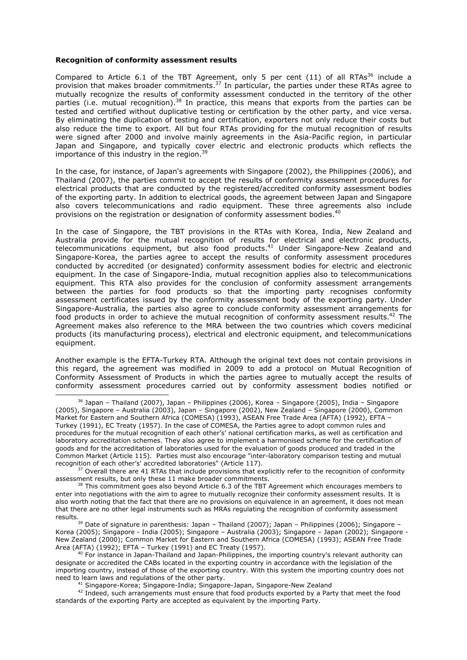#### *Recognition of conformity assessment results*

Compared to Article 6.1 of the TBT Agreement, only 5 per cent (11) of all RTAs<sup>36</sup> include a provision that makes broader commitments. $37$  In particular, the parties under these RTAs agree to mutually recognize the results of conformity assessment conducted in the territory of the other parties (i.e. mutual recognition).38 In practice, this means that exports from the parties can be tested and certified without duplicative testing or certification by the other party, and vice versa. By eliminating the duplication of testing and certification, exporters not only reduce their costs but also reduce the time to export. All but four RTAs providing for the mutual recognition of results were signed after 2000 and involve mainly agreements in the Asia-Pacific region, in particular Japan and Singapore, and typically cover electric and electronic products which reflects the importance of this industry in the region.<sup>39</sup>

In the case, for instance, of Japan's agreements with Singapore (2002), the Philippines (2006), and Thailand (2007), the parties commit to accept the results of conformity assessment procedures for electrical products that are conducted by the registered/accredited conformity assessment bodies of the exporting party. In addition to electrical goods, the agreement between Japan and Singapore also covers telecommunications and radio equipment. These three agreements also include provisions on the registration or designation of conformity assessment bodies.<sup>40</sup>

In the case of Singapore, the TBT provisions in the RTAs with Korea, India, New Zealand and Australia provide for the mutual recognition of results for electrical and electronic products, telecommunications equipment, but also food products.<sup>41</sup> Under Singapore-New Zealand and Singapore-Korea, the parties agree to accept the results of conformity assessment procedures conducted by accredited (or designated) conformity assessment bodies for electric and electronic equipment. In the case of Singapore-India, mutual recognition applies also to telecommunications equipment. This RTA also provides for the conclusion of conformity assessment arrangements between the parties for food products so that the importing party recognises conformity assessment certificates issued by the conformity assessment body of the exporting party. Under Singapore-Australia, the parties also agree to conclude conformity assessment arrangements for food products in order to achieve the mutual recognition of conformity assessment results.<sup>42</sup> The Agreement makes also reference to the MRA between the two countries which covers medicinal products (its manufacturing process), electrical and electronic equipment, and telecommunications equipment.

Another example is the EFTA-Turkey RTA. Although the original text does not contain provisions in this regard, the agreement was modified in 2009 to add a protocol on Mutual Recognition of Conformity Assessment of Products in which the parties agree to mutually accept the results of conformity assessment procedures carried out by conformity assessment bodies notified or

results.<br><sup>39</sup> Date of signature in parenthesis: Japan – Thailand (2007); Japan – Philippines (2006); Singapore – Korea (2005); Singapore - India (2005); Singapore – Australia (2003); Singapore – Japan (2002); Singapore - New Zealand (2000); Common Market for Eastern and Southern Africa (COMESA) (1993); ASEAN Free Trade Area (AFTA) (1992); EFTA - Turkey (1991) and EC Treaty (1957).

 $36$  Japan – Thailand (2007), Japan – Philippines (2006), Korea – Singapore (2005), India – Singapore (2005), Singapore – Australia (2003), Japan – Singapore (2002), New Zealand – Singapore (2000), Common Market for Eastern and Southern Africa (COMESA) (1993), ASEAN Free Trade Area (AFTA) (1992), EFTA – Turkey (1991), EC Treaty (1957). In the case of COMESA, the Parties agree to adopt common rules and procedures for the mutual recognition of each other's' national certification marks, as well as certification and laboratory accreditation schemes. They also agree to implement a harmonised scheme for the certification of goods and for the accreditation of laboratories used for the evaluation of goods produced and traded in the Common Market (Article 115). Parties must also encourage "inter-laboratory comparison testing and mutual recognition of each other's' accredited laboratories" (Article 117).<br><sup>37</sup> Overall there are 41 RTAs that include provisions that explicitly refer to the recognition of conformity

assessment results, but only these 11 make broader commitments.<br><sup>38</sup> This commitment goes also beyond Article 6.3 of the TBT Agreement which encourages members to

enter into negotiations with the aim to agree to mutually recognize their conformity assessment results. It is also worth noting that the fact that there are no provisions on equivalence in an agreement, it does not mean that there are no other legal instruments such as MRAs regulating the recognition of conformity assessment

 $40$  For instance in Japan-Thailand and Japan-Philippines, the importing country's relevant authority can designate or accredited the CABs located in the exporting country in accordance with the legislation of the importing country, instead of those of the exporting country. With this system the importing country does not

 $41$  Singapore-Korea; Singapore-India; Singapore-Japan, Singapore-New Zealand<br> $42$  Indeed, such arrangements must ensure that food products exported by a Party that meet the food standards of the exporting Party are accepted as equivalent by the importing Party.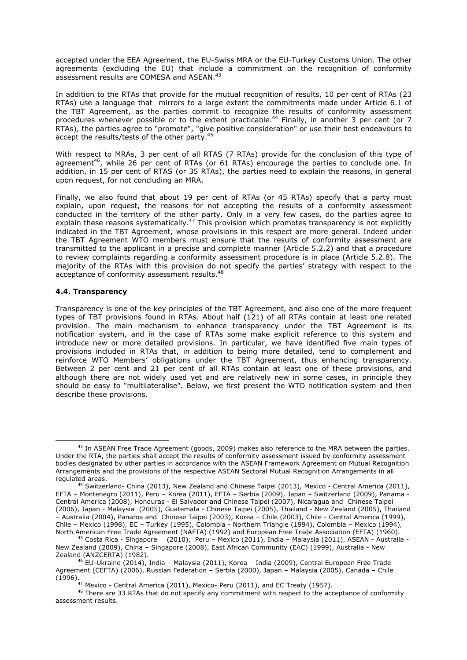accepted under the EEA Agreement, the EU-Swiss MRA or the EU-Turkey Customs Union. The other agreements (excluding the EU) that include a commitment on the recognition of conformity assessment results are COMESA and ASEAN.<sup>43</sup>

In addition to the RTAs that provide for the mutual recognition of results, 10 per cent of RTAs (23 RTAs) use a language that mirrors to a large extent the commitments made under Article 6.1 of the TBT Agreement, as the parties commit to recognize the results of conformity assessment procedures whenever possible or to the extent practicable.<sup>44</sup> Finally, in another 3 per cent (or 7 RTAs), the parties agree to "promote", "give positive consideration" or use their best endeavours to accept the results/tests of the other party.<sup>45</sup>

With respect to MRAs, 3 per cent of all RTAS (7 RTAs) provide for the conclusion of this type of agreement<sup>46</sup>, while 26 per cent of RTAs (or 61 RTAs) encourage the parties to conclude one. In addition, in 15 per cent of RTAS (or 35 RTAs), the parties need to explain the reasons, in general upon request, for not concluding an MRA.

Finally, we also found that about 19 per cent of RTAs (or 45 RTAs) specify that a party must explain, upon request, the reasons for not accepting the results of a conformity assessment conducted in the territory of the other party. Only in a very few cases, do the parties agree to explain these reasons systematically.<sup>47</sup> This provision which promotes transparency is not explicitly indicated in the TBT Agreement, whose provisions in this respect are more general. Indeed under the TBT Agreement WTO members must ensure that the results of conformity assessment are transmitted to the applicant *in a precise and complete manner* (Article 5.2.2) and that a procedure to review complaints regarding a conformity assessment procedure is in place (Article 5.2.8). The majority of the RTAs with this provision do not specify the parties' strategy with respect to the acceptance of conformity assessment results.<sup>48</sup>

## **4.4. Transparency**

Transparency is one of the key principles of the TBT Agreement, and also one of the more frequent types of TBT provisions found in RTAs. About half (121) of all RTAs contain at least one related provision. The main mechanism to enhance transparency under the TBT Agreement is its notification system, and in the case of RTAs some make explicit reference to this system and introduce new or more detailed provisions. In particular, we have identified five main types of provisions included in RTAs that, in addition to being more detailed, tend to complement and reinforce WTO Members' obligations under the TBT Agreement, thus enhancing transparency. Between 2 per cent and 21 per cent of all RTAs contain at least one of these provisions, and although there are not widely used yet and are relatively new in some cases, in principle they should be easy to "multilateralise". Below, we first present the WTO notification system and then describe these provisions.

 $43$  In ASEAN Free Trade Agreement (goods, 2009) makes also reference to the MRA between the parties. Under the RTA, the parties shall accept the results of conformity assessment issued by conformity assessment bodies designated by other parties in accordance with the ASEAN Framework Agreement on Mutual Recognition Arrangements and the provisions of the respective ASEAN Sectoral Mutual Recognition Arrangements in all regulated areas.<br><sup>44</sup> Switzerland- China (2013), New Zealand and Chinese Taipei (2013), Mexico - Central America (2011),

EFTA – Montenegro (2011), Peru – Korea (2011), EFTA – Serbia (2009), Japan – Switzerland (2009), Panama - Central America (2008), Honduras - El Salvador and Chinese Taipei (2007), Nicaragua and Chinese Taipei (2006), Japan - Malaysia (2005), Guatemala - Chinese Taipei (2005), Thailand - New Zealand (2005), Thailand – Australia (2004), Panama and Chinese Taipei (2003), Korea – Chile (2003), Chile - Central America (1999), Chile – Mexico (1998), EC – Turkey (1995), Colombia - Northern Triangle (1994), Colombia – Mexico (1994), North American Free Trade Agreement (NAFTA) (1992), and European Free Trade Agreement (NAFTA) (1990).

<sup>&</sup>lt;sup>45</sup> Costa Rica - Singapore (2010), Peru – Mexico (2011), India – Malaysia (2011), ASEAN - Australia -New Zealand (2009), China – Singapore (2008), East African Community (EAC) (1999), Australia - New<br>Zealand (ANZCERTA) (1982).

a (Anzoana), Cerrey.<br><sup>46</sup> EU-Ukraine (2014), India – Malaysia (2011), Korea – India (2009), Central European Free Trade Agreement (CEFTA) (2006), Russian Federation – Serbia (2000), Japan – Malaysia (2005), Canada – Chile<br>(1996).

<sup>&</sup>lt;sup>47</sup> Mexico - Central America (2011), Mexico- Peru (2011), and EC Treaty (1957).<br><sup>48</sup> There are 33 RTAs that do not specify any commitment with respect to the acceptance of conformity assessment results.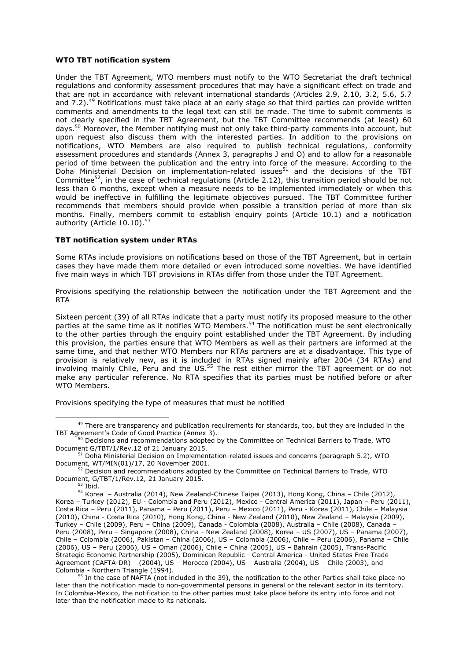#### *WTO TBT notification system*

Under the TBT Agreement, WTO members must notify to the WTO Secretariat the draft technical regulations and conformity assessment procedures that may have a significant effect on trade and that are not in accordance with relevant international standards (Articles 2.9, 2.10, 3.2, 5.6, 5.7 and 7.2).<sup>49</sup> Notifications must take place at an early stage so that third parties can provide written comments and amendments to the legal text can still be made. The time to submit comments is not clearly specified in the TBT Agreement, but the TBT Committee recommends (at least) 60 days.<sup>50</sup> Moreover, the Member notifying must not only take third-party comments into account, but upon request also discuss them with the interested parties. In addition to the provisions on notifications, WTO Members are also required to publish technical regulations, conformity assessment procedures and standards (Annex 3, paragraphs J and O) and to allow for a reasonable period of time between the publication and the entry into force of the measure. According to the Doha Ministerial Decision on implementation-related issues51 and the decisions of the TBT Committee<sup>52</sup>, in the case of technical regulations (Article 2.12), this transition period should be not less than 6 months, except when a measure needs to be implemented immediately or when this would be ineffective in fulfilling the legitimate objectives pursued. The TBT Committee further recommends that members should provide when possible a transition period of more than six months. Finally, members commit to establish enquiry points (Article 10.1) and a notification authority (Article 10.10).<sup>53</sup>

## *TBT notification system under RTAs*

Some RTAs include provisions on notifications based on those of the TBT Agreement, but in certain cases they have made them more detailed or even introduced some novelties. We have identified five main ways in which TBT provisions in RTAs differ from those under the TBT Agreement.

*Provisions specifying the relationship between the notification under the TBT Agreement and the RTA* 

Sixteen percent (39) of all RTAs indicate that a party must notify its proposed measure to the other parties *at the same time* as it notifies WTO Members.54 The notification must be sent electronically to the other parties through the enquiry point established under the TBT Agreement. By including this provision, the parties ensure that WTO Members as well as their partners are informed at the same time, and that neither WTO Members nor RTAs partners are at a disadvantage. This type of provision is relatively new, as it is included in RTAs signed mainly after 2004 (34 RTAs) and involving mainly Chile, Peru and the US. $55$  The rest either mirror the TBT agreement or do not make any particular reference. No RTA specifies that its parties must be notified before or after WTO Members.

*Provisions specifying the type of measures that must be notified* 

<sup>&</sup>lt;sup>49</sup> There are transparency and publication requirements for standards, too, but they are included in the TBT Agreement's Code of Good Practice (Annex 3).<br><sup>50</sup> Decisions and recommendations adopted by the Committee on Technical Barriers to Trade, WTO

Document G/TBT/1/Rev.12 of 21 January 2015.<br><sup>51</sup> Doha Ministerial Decision on Implementation-related issues and concerns (paragraph 5.2), WTO

Document, WT/MIN(01)/17, 20 November 2001.<br><sup>52</sup> Decision and recommendations adopted by the Committee on Technical Barriers to Trade, WTO

Document, G/TBT/1/Rev.12, 21 January 2015.<br><sup>53</sup> Ibid. 53 Ibid. 54 Korea – Australia (2014), New Zealand-Chinese Taipei (2013), Hong Kong, China – Chile (2012),

Korea – Turkey (2012), EU - Colombia and Peru (2012), Mexico - Central America (2011), Japan – Peru (2011), Costa Rica – Peru (2011), Panama – Peru (2011), Peru – Mexico (2011), Peru - Korea (2011), Chile – Malaysia (2010), China - Costa Rica (2010), Hong Kong, China - New Zealand (2010), New Zealand – Malaysia (2009), Turkey – Chile (2009), Peru – China (2009), Canada - Colombia (2008), Australia – Chile (2008), Canada – Peru (2008), Peru – Singapore (2008), China - New Zealand (2008), Korea – US (2007), US – Panama (2007), Chile – Colombia (2006), Pakistan – China (2006), US – Colombia (2006), Chile – Peru (2006), Panama – Chile (2006), US – Peru (2006), US – Oman (2006), Chile – China (2005), US – Bahrain (2005), Trans-Pacific Strategic Economic Partnership (2005), Dominican Republic - Central America - United States Free Trade Agreement (CAFTA-DR) (2004), US – Morocco (2004), US – Australia (2004), US – Chile (2003), and Colombia - Northern Triangle (1994).<br><sup>55</sup> In the case of NAFTA (not included in the 39), the notification to the other Parties shall take place no

later than the notification made to non-governmental persons in general or the relevant sector in its territory. In Colombia-Mexico, the notification to the other parties must take place before its entry into force and not later than the notification made to its nationals.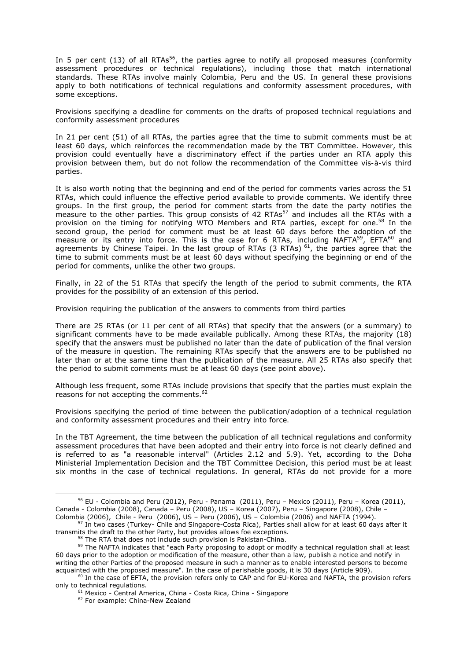In 5 per cent (13) of all RTAs<sup>56</sup>, the parties agree to notify all proposed measures (conformity assessment procedures or technical regulations), including those that match international standards. These RTAs involve mainly Colombia, Peru and the US. In general these provisions apply to both notifications of technical regulations and conformity assessment procedures, with some exceptions.

*Provisions specifying a deadline for comments on the drafts of proposed technical regulations and conformity assessment procedures* 

In 21 per cent (51) of all RTAs, the parties agree that the time to submit comments must be at least 60 days, which reinforces the recommendation made by the TBT Committee. However, this provision could eventually have a discriminatory effect if the parties under an RTA apply this provision between them, but do not follow the recommendation of the Committee *vis-à-vis* third parties.

It is also worth noting that the beginning and end of the period for comments varies across the 51 RTAs, which could influence the effective period available to provide comments. We identify three groups. In the first group, the period for comment starts from the date the party notifies the measure to the other parties. This group consists of 42 RTAs<sup>57</sup> and includes all the RTAs with a provision on the timing for notifying WTO Members and RTA parties, except for one.<sup>58</sup> In the second group, the period for comment must be at least 60 days before the adoption of the measure or its entry into force. This is the case for 6 RTAs, including NAFTA<sup>59</sup>, EFTA<sup>60</sup> and agreements by Chinese Taipei. In the last group of RTAs  $(3 \text{ RTAs})^{61}$ , the parties agree that the time to submit comments must be at least 60 days without specifying the beginning or end of the period for comments, unlike the other two groups.

Finally, in 22 of the 51 RTAs that specify the length of the period to submit comments, the RTA provides for the possibility of an extension of this period.

#### *Provision requiring the publication of the answers to comments from third parties*

There are 25 RTAs (or 11 per cent of all RTAs) that specify that the answers (or a summary) to significant comments have to be made available publically. Among these RTAs, the majority (18) specify that the answers must be published no later than the date of publication of the final version of the measure in question. The remaining RTAs specify that the answers are to be published no later than or at the same time than the publication of the measure. All 25 RTAs also specify that the period to submit comments must be at least 60 days (see point above).

Although less frequent, some RTAs include provisions that specify that the parties must explain the reasons for not accepting the comments.<sup>62</sup>

*Provisions specifying the period of time between the publication/adoption of a technical regulation and conformity assessment procedures and their entry into force.* 

In the TBT Agreement, the time between the publication of all technical regulations and conformity assessment procedures that have been adopted and their entry into force is not clearly defined and is referred to as "a reasonable interval" (Articles 2.12 and 5.9). Yet, according to the Doha Ministerial Implementation Decision and the TBT Committee Decision, this period must be at least six months in the case of technical regulations. In general, RTAs do not provide for a more

 $56$  EU - Colombia and Peru (2012), Peru - Panama (2011), Peru – Mexico (2011), Peru – Korea (2011), Canada - Colombia (2008), Canada – Peru (2008), US – Korea (2007), Peru – Singapore (2008), Chile –

Colombia (2006), Chile - Peru (2006), US – Peru (2006), US – Colombia (2006) and NAFTA (1994).<br><sup>57</sup> In two cases (Turkey- Chile and Singapore-Costa Rica), Parties shall allow for at least 60 days after it

transmits the draft to the other Party, but provides allows foe exceptions.<br><sup>58</sup> The RTA that does not include such provision is Pakistan-China.<br><sup>59</sup> The NAFTA indicates that "each Party proposing to adopt or modify a tech 60 days prior to the adoption or modification of the measure, other than a law, publish a notice and notify in writing the other Parties of the proposed measure in such a manner as to enable interested persons to become acquainted with the proposed measure". In the case of perishable goods, it is 30 days (Article 909).

 $^{60}$  In the case of EFTA, the provision refers only to CAP and for EU-Korea and NAFTA, the provision refers only to technical regulations.

 $61$  Mexico - Central America, China - Costa Rica, China - Singapore  $62$  For example: China-New Zealand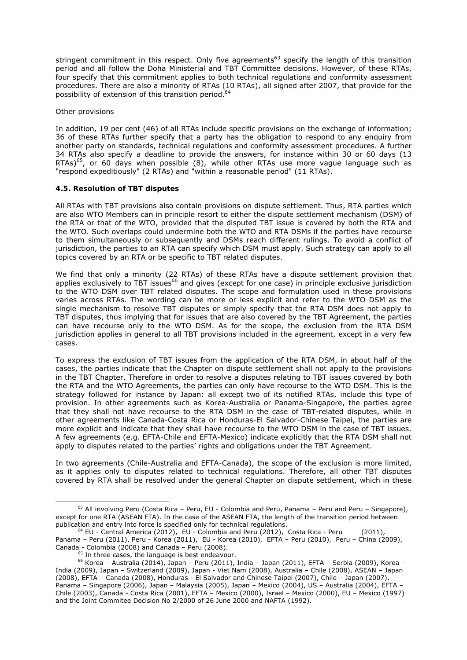stringent commitment in this respect. Only five agreements<sup>63</sup> specify the length of this transition period and all follow the Doha Ministerial and TBT Committee decisions. However, of these RTAs, four specify that this commitment applies to both technical regulations and conformity assessment procedures. There are also a minority of RTAs (10 RTAs), all signed after 2007, that provide for the possibility of extension of this transition period.<sup>64</sup>

### *Other provisions*

In addition, 19 per cent (46) of all RTAs include specific provisions on the exchange of information; 36 of these RTAs further specify that a party has the obligation to respond to any enquiry from another party on standards, technical regulations and conformity assessment procedures. A further 34 RTAs also specify a deadline to provide the answers, for instance within 30 or 60 days (13 RTAs)<sup>65</sup>, or 60 days when possible (8), while other RTAs use more vague language such as "respond expeditiously" (2 RTAs) and "within a reasonable period" (11 RTAs).

## **4.5. Resolution of TBT disputes**

All RTAs with TBT provisions also contain provisions on dispute settlement. Thus, RTA parties which are also WTO Members can in principle resort to either the dispute settlement mechanism (DSM) of the RTA or that of the WTO, provided that the disputed TBT issue is covered by both the RTA and the WTO. Such overlaps could undermine both the WTO and RTA DSMs if the parties have recourse to them simultaneously or subsequently and DSMs reach different rulings. To avoid a conflict of jurisdiction, the parties to an RTA can specify which DSM must apply. Such strategy can apply to all topics covered by an RTA or be specific to TBT related disputes.

We find that only a minority (22 RTAs) of these RTAs have a dispute settlement provision that applies exclusively to TBT issues<sup>66</sup> and gives (except for one case) in principle exclusive jurisdiction to the WTO DSM over TBT related disputes. The scope and formulation used in these provisions varies across RTAs. The wording can be more or less explicit and refer to the WTO DSM as the single mechanism to resolve TBT disputes or simply specify that the RTA DSM does not apply to TBT disputes, thus implying that for issues that are also covered by the TBT Agreement, the parties can have recourse only to the WTO DSM. As for the scope, the exclusion from the RTA DSM jurisdiction applies in general to all TBT provisions included in the agreement, except in a very few cases.

To express the exclusion of TBT issues from the application of the RTA DSM, in about half of the cases, the parties indicate that the Chapter on dispute settlement *shall not apply* to the provisions in the TBT Chapter. Therefore in order to resolve a disputes relating to TBT issues covered by both the RTA and the WTO Agreements, the parties can only have recourse to the WTO DSM. This is the strategy followed for instance by Japan: all except two of its notified RTAs, include this type of provision. In other agreements such as Korea-Australia or Panama-Singapore, the parties agree that they *shall not have recourse* to the RTA DSM in the case of TBT-related disputes, while in other agreements like Canada-Costa Rica or Honduras-El Salvador-Chinese Taipei, the parties are more explicit and indicate that they *shall have recourse* to the WTO DSM in the case of TBT issues. A few agreements (e.g. EFTA-Chile and EFTA-Mexico) indicate explicitly that the RTA DSM *shall not apply* to disputes related to the parties' rights and obligations under the TBT Agreement.

In two agreements (Chile-Australia and EFTA-Canada), the scope of the exclusion is more limited, as it applies only to disputes related to technical regulations. Therefore, all other TBT disputes covered by RTA shall be resolved under the general Chapter on dispute settlement, which in these

 $63$  All involving Peru (Costa Rica – Peru, EU - Colombia and Peru, Panama – Peru and Peru – Singapore), except for one RTA (ASEAN FTA). In the case of the ASEAN FTA, the length of the transition period between publication and entry into force is specified only for technical regulations.

publication and entry into force is specified only for technical regulations.<br><sup>64</sup> EU - Central America (2012), EU - Colombia and Peru (2012), Costa Rica - Peru (2011), Panama – Peru (2011), Peru - Korea (2011), EU - Korea (2010), EFTA – Peru (2010), Peru – China (2009), Canada - Colombia (2008) and Canada – Peru (2008).<br><sup>65</sup> In three cases, the language is best endeavour.<br><sup>66</sup> Korea – Australia (2014), Japan – Peru (2011), India – Japan (2011), EFTA – Serbia (2009), Korea –

India (2009), Japan – Switzerland (2009), Japan - Viet Nam (2008), Australia – Chile (2008), ASEAN – Japan (2008), EFTA – Canada (2008), Honduras - El Salvador and Chinese Taipei (2007), Chile – Japan (2007), Panama – Singapore (2006), Japan – Malaysia (2005), Japan – Mexico (2004), US – Australia (2004), EFTA – Chile (2003), Canada - Costa Rica (2001), EFTA – Mexico (2000), Israel – Mexico (2000), EU – Mexico (1997) and the Joint Commitee Decision No 2/2000 of 26 June 2000 and NAFTA (1992).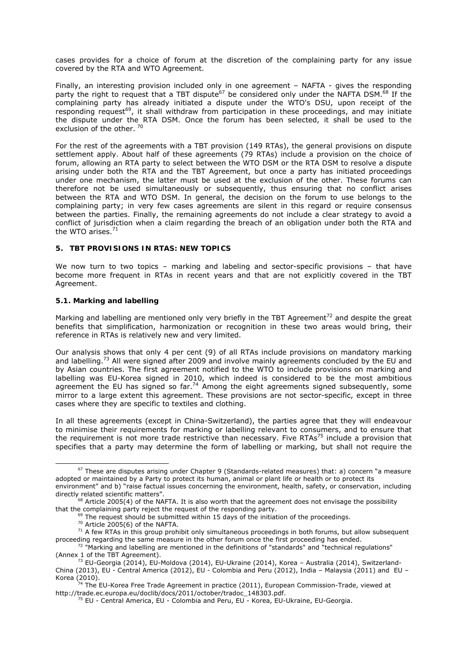cases provides for a choice of forum at the discretion of the complaining party for any issue covered by the RTA and WTO Agreement.

Finally, an interesting provision included only in one agreement – NAFTA - gives the responding party the right to request that a TBT dispute<sup>67</sup> be considered only under the NAFTA DSM.<sup>68</sup> If the complaining party has already initiated a dispute under the WTO's DSU, upon receipt of the responding request<sup>69</sup>, it shall withdraw from participation in these proceedings, and may initiate the dispute under the RTA DSM. Once the forum has been selected, it shall be used to the exclusion of the other.<sup>70</sup>

For the rest of the agreements with a TBT provision (149 RTAs), the general provisions on dispute settlement apply. About half of these agreements (79 RTAs) include a provision on the choice of forum, allowing an RTA party to select between the WTO DSM or the RTA DSM to resolve a dispute arising under both the RTA and the TBT Agreement, but once a party has initiated proceedings under one mechanism, the latter must be used at the exclusion of the other. These forums can therefore not be used simultaneously or subsequently, thus ensuring that no conflict arises between the RTA and WTO DSM. In general, the decision on the forum to use belongs to the complaining party; in very few cases agreements are silent in this regard or require consensus between the parties. Finally, the remaining agreements do not include a clear strategy to avoid a conflict of jurisdiction when a claim regarding the breach of an obligation under both the RTA and the WTO arises. $71$ 

#### **5. TBT PROVISIONS IN RTAS: NEW TOPICS**

We now turn to two topics – marking and labeling and sector-specific provisions – that have become more frequent in RTAs in recent years and that are not explicitly covered in the TBT Agreement.

## **5.1. Marking and labelling**

Marking and labelling are mentioned only very briefly in the TBT Agreement<sup>72</sup> and despite the great benefits that simplification, harmonization or recognition in these two areas would bring, their reference in RTAs is relatively new and very limited.

Our analysis shows that only 4 per cent (9) of all RTAs include provisions on mandatory marking and labelling.<sup>73</sup> All were signed after 2009 and involve mainly agreements concluded by the EU and by Asian countries. The first agreement notified to the WTO to include provisions on marking and labelling was EU-Korea signed in 2010, which indeed is considered to be the most ambitious agreement the EU has signed so far.<sup>74</sup> Among the eight agreements signed subsequently, some mirror to a large extent this agreement. These provisions are not sector-specific, except in three cases where they are specific to textiles and clothing.

In all these agreements (except in China-Switzerland), the parties agree that they will endeavour to minimise their requirements for marking or labelling relevant to consumers, and to ensure that the requirement is not more trade restrictive than necessary. Five RTAs<sup>75</sup> include a provision that specifies that a party may determine the form of labelling or marking, but shall not require the

 $67$  These are disputes arising under Chapter 9 (Standards-related measures) that: a) concern "a measure adopted or maintained by a Party to protect its human, animal or plant life or health or to protect its environment" and b) "raise factual issues concerning the environment, health, safety, or conservation, including

directly related scientific matters".<br><sup>68</sup> Article 2005(4) of the NAFTA. It is also worth that the agreement does not envisage the possibility<br>that the complaining party reject the request of the responding party.

<sup>&</sup>lt;sup>69</sup> The request should be submitted within 15 days of the initiation of the proceedings.<br><sup>70</sup> Article 2005(6) of the NAFTA.<br><sup>71</sup> A few RTAs in this group prohibit only simultaneous proceedings in both forums, but allow s

 $\frac{72 \text{ m}}{2}$  "Marking and labelling are mentioned in the definitions of "standards" and "technical regulations" (Annex 1 of the TBT Agreement)

 $<sup>73</sup>$  EU-Georgia (2014), EU-Moldova (2014), EU-Ukraine (2014), Korea – Australia (2014), Switzerland-</sup> China (2013), EU - Central America (2012), EU - Colombia and Peru (2012), India – Malaysia (2011) and EU –

Korea (2010).<br><sup>74</sup> The EU-Korea Free Trade Agreement in practice (2011), European Commission-Trade, viewed at<br>http://trade.ec.europa.eu/doclib/docs/2011/october/tradoc\_148303.pdf.

 $<sup>75</sup>$  EU - Central America, EU - Colombia and Peru, EU - Korea, EU-Ukraine, EU-Georgia.</sup>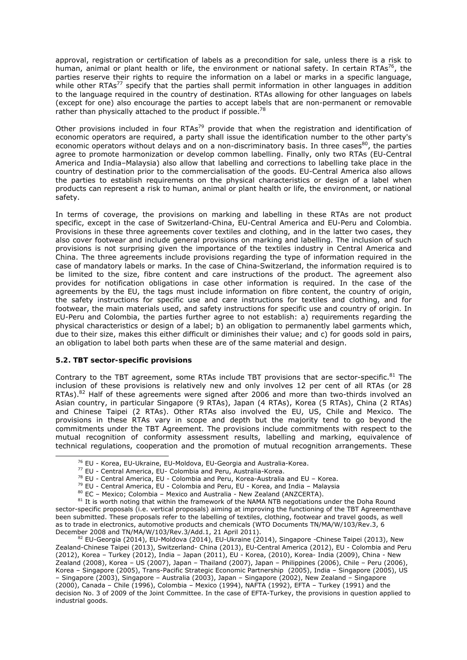approval, registration or certification of labels as a precondition for sale, unless there is a risk to human, animal or plant health or life, the environment or national safety. In certain RTAs<sup>76</sup>, the parties reserve their rights to require the information on a label or marks in a specific language, while other  $RTAs^{77}$  specify that the parties shall permit information in other languages in addition to the language required in the country of destination. RTAs allowing for other languages on labels (except for one) also encourage the parties to accept labels that are non-permanent or removable rather than physically attached to the product if possible.<sup>78</sup>

Other provisions included in four RTAs<sup>79</sup> provide that when the registration and identification of economic operators are required, a party shall issue the identification number to the other party's economic operators without delays and on a non-discriminatory basis. In three cases  $80$ , the parties agree to promote harmonization or develop common labelling. Finally, only two RTAs (EU-Central America and India–Malaysia) also allow that labelling and corrections to labelling take place in the country of destination prior to the commercialisation of the goods. EU-Central America also allows the parties to establish requirements on the physical characteristics or design of a label when products can represent a risk to human, animal or plant health or life, the environment, or national safety.

In terms of coverage, the provisions on marking and labelling in these RTAs are not product specific, except in the case of Switzerland-China, EU-Central America and EU-Peru and Colombia. Provisions in these three agreements cover textiles and clothing, and in the latter two cases, they also cover footwear and include general provisions on marking and labelling. The inclusion of such provisions is not surprising given the importance of the textiles industry in Central America and China. The three agreements include provisions regarding the type of information required in the case of mandatory labels or marks. In the case of China-Switzerland, the information required is to be limited to the size, fibre content and care instructions of the product. The agreement also provides for notification obligations in case other information is required. In the case of the agreements by the EU, the tags must include information on fibre content, the country of origin, the safety instructions for specific use and care instructions for textiles and clothing, and for footwear, the main materials used, and safety instructions for specific use and country of origin. In EU-Peru and Colombia, the parties further agree to not establish: a) requirements regarding the physical characteristics or design of a label; b) an obligation to permanently label garments which, due to their size, makes this either difficult or diminishes their value; and c) for goods sold in pairs, an obligation to label both parts when these are of the same material and design.

## **5.2. TBT sector-specific provisions**

Contrary to the TBT agreement, some RTAs include TBT provisions that are sector-specific. $81$  The inclusion of these provisions is relatively new and only involves 12 per cent of all RTAs (or 28 RTAs).<sup>82</sup> Half of these agreements were signed after 2006 and more than two-thirds involved an Asian country, in particular Singapore (9 RTAs), Japan (4 RTAs), Korea (5 RTAs), China (2 RTAs) and Chinese Taipei (2 RTAs). Other RTAs also involved the EU, US, Chile and Mexico. The provisions in these RTAs vary in scope and depth but the majority tend to go beyond the commitments under the TBT Agreement. The provisions include commitments with respect to the mutual recognition of conformity assessment results, labelling and marking, equivalence of technical regulations, cooperation and the promotion of mutual recognition arrangements. These

<sup>&</sup>lt;sup>76</sup> EU - Korea, EU-Ukraine, EU-Moldova, EU-Georgia and Australia-Korea.<br><sup>77</sup> EU - Central America, EU- Colombia and Peru, Australia-Korea.<br><sup>78</sup> EU - Central America, EU - Colombia and Peru, Korea-Australia and EU – Korea

sector-specific proposals (i.e. vertical proposals) aiming at improving the functioning of the TBT Agreementhave been submitted. These proposals refer to the labelling of textiles, clothing, footwear and travel goods, as well as to trade in electronics, automotive products and chemicals (WTO Documents TN/MA/W/103/Rev.3, 6 December 2008 and TN/MA/W/103/Rev.3/Add.1, 21 April 2011).<br><sup>82</sup> EU-Georgia (2014), EU-Moldova (2014), EU-Ukraine (2014), Singapore -Chinese Taipei (2013), New

Zealand-Chinese Taipei (2013), Switzerland- China (2013), EU-Central America (2012), EU - Colombia and Peru (2012), Korea – Turkey (2012), India – Japan (2011), EU - Korea, (2010), Korea- India (2009), China - New Zealand (2008), Korea – US (2007), Japan – Thailand (2007), Japan – Philippines (2006), Chile – Peru (2006), Korea – Singapore (2005), Trans-Pacific Strategic Economic Partnership (2005), India – Singapore (2005), US – Singapore (2003), Singapore – Australia (2003), Japan – Singapore (2002), New Zealand – Singapore (2000), Canada – Chile (1996), Colombia – Mexico (1994), NAFTA (1992), EFTA – Turkey (1991) and the decision No. 3 of 2009 of the Joint Committee. In the case of EFTA-Turkey, the provisions in question applied to industrial goods.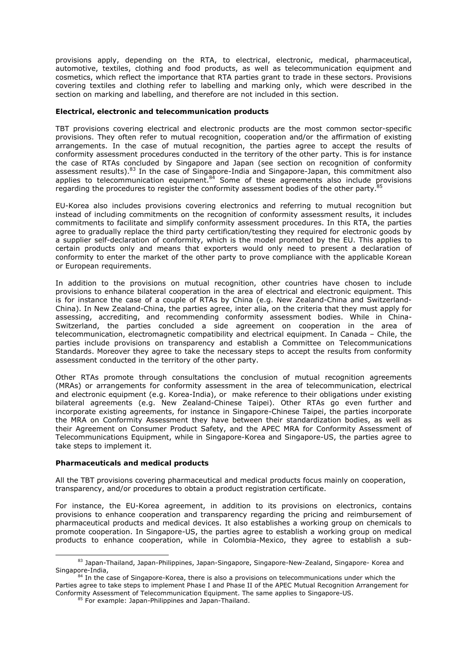provisions apply, depending on the RTA, to electrical, electronic, medical, pharmaceutical, automotive, textiles, clothing and food products, as well as telecommunication equipment and cosmetics, which reflect the importance that RTA parties grant to trade in these sectors. Provisions covering textiles and clothing refer to labelling and marking only, which were described in the section on marking and labelling, and therefore are not included in this section.

### *Electrical, electronic and telecommunication products*

TBT provisions covering electrical and electronic products are the most common sector-specific provisions. They often refer to mutual recognition, cooperation and/or the affirmation of existing arrangements. In the case of mutual recognition, the parties agree to accept the results of conformity assessment procedures conducted in the territory of the other party. This is for instance the case of RTAs concluded by Singapore and Japan (see section on recognition of conformity assessment results).<sup>83</sup> In the case of Singapore-India and Singapore-Japan, this commitment also applies to telecommunication equipment. $84$  Some of these agreements also include provisions regarding the procedures to register the conformity assessment bodies of the other party.<sup>85</sup>

EU-Korea also includes provisions covering electronics and referring to mutual recognition but instead of including commitments on the recognition of conformity assessment results, it includes commitments to facilitate and simplify conformity assessment procedures. In this RTA, the parties agree to gradually replace the third party certification/testing they required for electronic goods by a supplier self-declaration of conformity, which is the model promoted by the EU. This applies to certain products only and means that exporters would only need to present a declaration of conformity to enter the market of the other party to prove compliance with the applicable Korean or European requirements.

In addition to the provisions on mutual recognition, other countries have chosen to include provisions to enhance bilateral cooperation in the area of electrical and electronic equipment. This is for instance the case of a couple of RTAs by China (e.g. New Zealand-China and Switzerland-China). In New Zealand-China, the parties agree, inter alia, on the criteria that they must apply for assessing, accrediting, and recommending conformity assessment bodies. While in China-Switzerland, the parties concluded a side agreement on cooperation in the area of telecommunication, electromagnetic compatibility and electrical equipment. In Canada – Chile, the parties include provisions on transparency and establish a Committee on Telecommunications Standards. Moreover they agree to take the necessary steps to accept the results from conformity assessment conducted in the territory of the other party.

Other RTAs promote through consultations the conclusion of mutual recognition agreements (MRAs) or arrangements for conformity assessment in the area of telecommunication, electrical and electronic equipment (e.g. Korea-India), or make reference to their obligations under existing bilateral agreements (e.g. New Zealand-Chinese Taipei). Other RTAs go even further and incorporate existing agreements, for instance in Singapore-Chinese Taipei, the parties incorporate the MRA on Conformity Assessment they have between their standardization bodies, as well as their Agreement on Consumer Product Safety, and the APEC MRA for Conformity Assessment of Telecommunications Equipment, while in Singapore-Korea and Singapore-US, the parties agree to take steps to implement it.

#### *Pharmaceuticals and medical products*

All the TBT provisions covering pharmaceutical and medical products focus mainly on cooperation, transparency, and/or procedures to obtain a product registration certificate.

For instance, the EU-Korea agreement, in addition to its provisions on electronics, contains provisions to enhance cooperation and transparency regarding the pricing and reimbursement of pharmaceutical products and medical devices. It also establishes a working group on chemicals to promote cooperation. In Singapore-US, the parties agree to establish a working group on medical products to enhance cooperation, while in Colombia-Mexico, they agree to establish a sub-

<sup>&</sup>lt;sup>83</sup> Japan-Thailand, Japan-Philippines, Japan-Singapore, Singapore-New-Zealand, Singapore- Korea and<br>Singapore-India,

<sup>&</sup>lt;sup>84</sup> In the case of Singapore-Korea, there is also a provisions on telecommunications under which the Parties agree to take steps to implement Phase I and Phase II of the APEC Mutual Recognition Arrangement for Conformity Assessment of Telecommunication Equipment. The same applies to Singapore-US.<br><sup>85</sup> For example: Japan-Philippines and Japan-Thailand.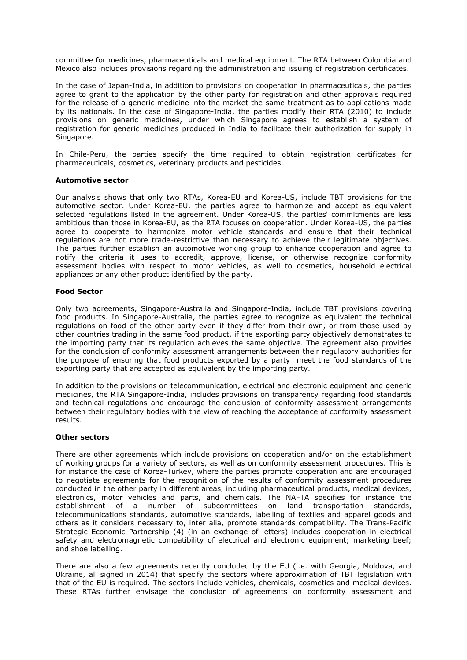committee for medicines, pharmaceuticals and medical equipment. The RTA between Colombia and Mexico also includes provisions regarding the administration and issuing of registration certificates.

In the case of Japan-India, in addition to provisions on cooperation in pharmaceuticals, the parties agree to grant to the application by the other party for registration and other approvals required for the release of a generic medicine into the market the same treatment as to applications made by its nationals. In the case of Singapore-India, the parties modify their RTA (2010) to include provisions on generic medicines, under which Singapore agrees to establish a system of registration for generic medicines produced in India to facilitate their authorization for supply in Singapore.

In Chile-Peru, the parties specify the time required to obtain registration certificates for pharmaceuticals, cosmetics, veterinary products and pesticides.

## *Automotive sector*

Our analysis shows that only two RTAs, Korea-EU and Korea-US, include TBT provisions for the automotive sector. Under Korea-EU, the parties agree to harmonize and accept as equivalent selected regulations listed in the agreement. Under Korea-US, the parties' commitments are less ambitious than those in Korea-EU, as the RTA focuses on cooperation. Under Korea-US, the parties agree to cooperate to harmonize motor vehicle standards and ensure that their technical regulations are not more trade-restrictive than necessary to achieve their legitimate objectives. The parties further establish an automotive working group to enhance cooperation and agree to notify the criteria it uses to accredit, approve, license, or otherwise recognize conformity assessment bodies with respect to motor vehicles, as well to cosmetics, household electrical appliances or any other product identified by the party.

#### *Food Sector*

Only two agreements, Singapore-Australia and Singapore-India, include TBT provisions covering food products. In Singapore-Australia, the parties agree to recognize as equivalent the technical regulations on food of the other party even if they differ from their own, or from those used by other countries trading in the same food product, if the exporting party objectively demonstrates to the importing party that its regulation achieves the same objective. The agreement also provides for the conclusion of conformity assessment arrangements between their regulatory authorities for the purpose of ensuring that food products exported by a party meet the food standards of the exporting party that are accepted as equivalent by the importing party.

In addition to the provisions on telecommunication, electrical and electronic equipment and generic medicines, the RTA Singapore-India, includes provisions on transparency regarding food standards and technical regulations and encourage the conclusion of conformity assessment arrangements between their regulatory bodies with the view of reaching the acceptance of conformity assessment results.

## *Other sectors*

There are other agreements which include provisions on cooperation and/or on the establishment of working groups for a variety of sectors, as well as on conformity assessment procedures. This is for instance the case of Korea-Turkey, where the parties promote cooperation and are encouraged to negotiate agreements for the recognition of the results of conformity assessment procedures conducted in the other party in different areas*, including* pharmaceutical products, medical devices, electronics, motor vehicles and parts, and chemicals. The NAFTA specifies for instance the establishment of a number of subcommittees on land transportation standards, telecommunications standards, automotive standards, labelling of textiles and apparel goods and others as it considers necessary to, *inter alia*, promote standards compatibility. The Trans-Pacific Strategic Economic Partnership (4) (in an exchange of letters) includes cooperation in electrical safety and electromagnetic compatibility of electrical and electronic equipment; marketing beef; and shoe labelling.

There are also a few agreements recently concluded by the EU (i.e. with Georgia, Moldova, and Ukraine, all signed in 2014) that specify the sectors where approximation of TBT legislation with that of the EU is required. The sectors include vehicles, chemicals, cosmetics and medical devices. These RTAs further envisage the conclusion of agreements on conformity assessment and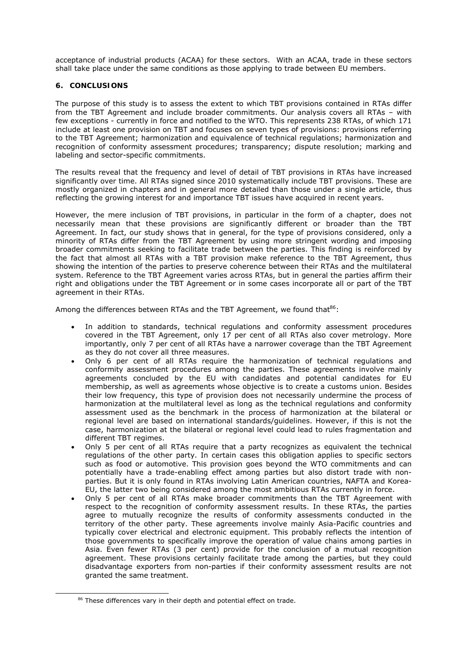acceptance of industrial products (ACAA) for these sectors. With an ACAA, trade in these sectors shall take place under the same conditions as those applying to trade between EU members.

## **6. CONCLUSIONS**

The purpose of this study is to assess the extent to which TBT provisions contained in RTAs differ from the TBT Agreement and include broader commitments. Our analysis covers all RTAs – with few exceptions - currently in force and notified to the WTO. This represents 238 RTAs, of which 171 include at least one provision on TBT and focuses on seven types of provisions: provisions referring to the TBT Agreement; harmonization and equivalence of technical regulations; harmonization and recognition of conformity assessment procedures; transparency; dispute resolution; marking and labeling and sector-specific commitments.

The results reveal that the frequency and level of detail of TBT provisions in RTAs have increased significantly over time. All RTAs signed since 2010 systematically include TBT provisions. These are mostly organized in chapters and in general more detailed than those under a single article, thus reflecting the growing interest for and importance TBT issues have acquired in recent years.

However, the mere inclusion of TBT provisions, in particular in the form of a chapter, does not necessarily mean that these provisions are significantly different or broader than the TBT Agreement. In fact, our study shows that in general, for the type of provisions considered, only a minority of RTAs differ from the TBT Agreement by using more stringent wording and imposing broader commitments seeking to facilitate trade between the parties. This finding is reinforced by the fact that almost all RTAs with a TBT provision make reference to the TBT Agreement, thus showing the intention of the parties to preserve coherence between their RTAs and the multilateral system. Reference to the TBT Agreement varies across RTAs, but in general the parties affirm their right and obligations under the TBT Agreement or in some cases incorporate all or part of the TBT agreement in their RTAs.

Among the differences between RTAs and the TBT Agreement, we found that $86$ :

- In addition to standards, technical regulations and conformity assessment procedures covered in the TBT Agreement, only 17 per cent of all RTAs also cover metrology. More importantly, only 7 per cent of all RTAs have a narrower coverage than the TBT Agreement as they do not cover all three measures.
- Only 6 per cent of all RTAs require the harmonization of technical regulations and conformity assessment procedures among the parties. These agreements involve mainly agreements concluded by the EU with candidates and potential candidates for EU membership, as well as agreements whose objective is to create a customs union. Besides their low frequency, this type of provision does not necessarily undermine the process of harmonization at the multilateral level as long as the technical regulations and conformity assessment used as the benchmark in the process of harmonization at the bilateral or regional level are based on international standards/guidelines. However, if this is not the case, harmonization at the bilateral or regional level could lead to rules fragmentation and different TBT regimes.
- Only 5 per cent of all RTAs require that a party recognizes as equivalent the technical regulations of the other party. In certain cases this obligation applies to specific sectors such as food or automotive. This provision goes beyond the WTO commitments and can potentially have a trade-enabling effect among parties but also distort trade with nonparties. But it is only found in RTAs involving Latin American countries, NAFTA and Korea-EU, the latter two being considered among the most ambitious RTAs currently in force.
- Only 5 per cent of all RTAs make broader commitments than the TBT Agreement with respect to the recognition of conformity assessment results. In these RTAs, the parties agree to mutually recognize the results of conformity assessments conducted in the territory of the other party. These agreements involve mainly Asia-Pacific countries and typically cover electrical and electronic equipment. This probably reflects the intention of those governments to specifically improve the operation of value chains among parties in Asia. Even fewer RTAs (3 per cent) provide for the conclusion of a mutual recognition agreement. These provisions certainly facilitate trade among the parties, but they could disadvantage exporters from non-parties if their conformity assessment results are not granted the same treatment.

<sup>&</sup>lt;sup>86</sup> These differences vary in their depth and potential effect on trade.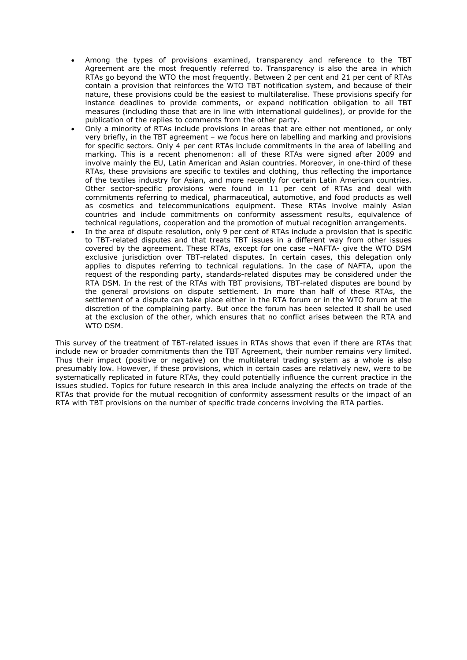- Among the types of provisions examined, transparency and reference to the TBT Agreement are the most frequently referred to. Transparency is also the area in which RTAs go beyond the WTO the most frequently. Between 2 per cent and 21 per cent of RTAs contain a provision that reinforces the WTO TBT notification system, and because of their nature, these provisions could be the easiest to multilateralise. These provisions specify for instance deadlines to provide comments, or expand notification obligation to all TBT measures (including those that are in line with international guidelines), or provide for the publication of the replies to comments from the other party.
- Only a minority of RTAs include provisions in areas that are either not mentioned, or only very briefly, in the TBT agreement – we focus here on labelling and marking and provisions for specific sectors. Only 4 per cent RTAs include commitments in the area of labelling and marking. This is a recent phenomenon: all of these RTAs were signed after 2009 and involve mainly the EU, Latin American and Asian countries. Moreover, in one-third of these RTAs, these provisions are specific to textiles and clothing, thus reflecting the importance of the textiles industry for Asian, and more recently for certain Latin American countries. Other sector-specific provisions were found in 11 per cent of RTAs and deal with commitments referring to medical, pharmaceutical, automotive, and food products as well as cosmetics and telecommunications equipment. These RTAs involve mainly Asian countries and include commitments on conformity assessment results, equivalence of technical regulations, cooperation and the promotion of mutual recognition arrangements.
- In the area of dispute resolution, only 9 per cent of RTAs include a provision that is specific to TBT-related disputes and that treats TBT issues in a different way from other issues covered by the agreement. These RTAs, except for one case –NAFTA- give the WTO DSM exclusive jurisdiction over TBT-related disputes. In certain cases, this delegation only applies to disputes referring to technical regulations. In the case of NAFTA, upon the request of the responding party, standards-related disputes may be considered under the RTA DSM. In the rest of the RTAs with TBT provisions, TBT-related disputes are bound by the general provisions on dispute settlement. In more than half of these RTAs, the settlement of a dispute can take place either in the RTA forum or in the WTO forum at the discretion of the complaining party. But once the forum has been selected it shall be used at the exclusion of the other, which ensures that no conflict arises between the RTA and WTO DSM.

This survey of the treatment of TBT-related issues in RTAs shows that even if there are RTAs that include new or broader commitments than the TBT Agreement, their number remains very limited. Thus their impact (positive or negative) on the multilateral trading system as a whole is also presumably low. However, if these provisions, which in certain cases are relatively new, were to be systematically replicated in future RTAs, they could potentially influence the current practice in the issues studied. Topics for future research in this area include analyzing the effects on trade of the RTAs that provide for the mutual recognition of conformity assessment results or the impact of an RTA with TBT provisions on the number of specific trade concerns involving the RTA parties.